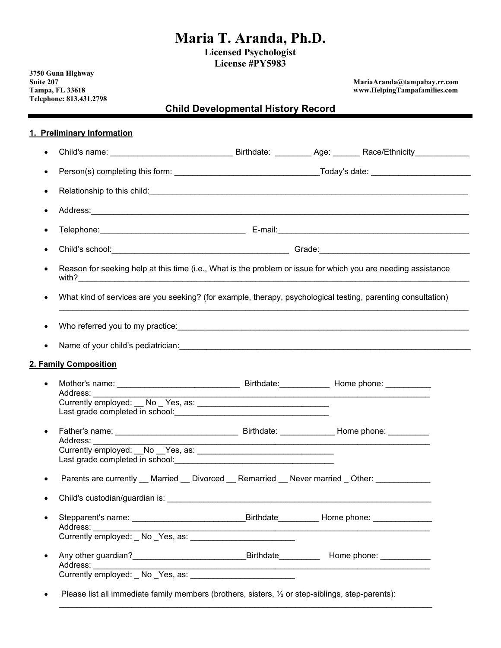# **Maria T. Aranda, Ph.D.**

**Licensed Psychologist License #PY5983** 

**3750 Gunn Highway Telephone: 813.431.2798**

**Suite 207 MariaAranda@tampabay.rr.com**   $www.HelpingTampafamilies.com$ 

# **Child Developmental History Record**

#### **1. Preliminary Information**

| Relationship to this child: expression and the contract of the contract of the contract of the contract of the                                                                                                                 |                                                  |  |
|--------------------------------------------------------------------------------------------------------------------------------------------------------------------------------------------------------------------------------|--------------------------------------------------|--|
|                                                                                                                                                                                                                                |                                                  |  |
|                                                                                                                                                                                                                                |                                                  |  |
|                                                                                                                                                                                                                                |                                                  |  |
| Reason for seeking help at this time (i.e., What is the problem or issue for which you are needing assistance                                                                                                                  |                                                  |  |
| What kind of services are you seeking? (for example, therapy, psychological testing, parenting consultation)                                                                                                                   |                                                  |  |
|                                                                                                                                                                                                                                |                                                  |  |
|                                                                                                                                                                                                                                |                                                  |  |
|                                                                                                                                                                                                                                |                                                  |  |
|                                                                                                                                                                                                                                |                                                  |  |
|                                                                                                                                                                                                                                |                                                  |  |
| 2. Family Composition                                                                                                                                                                                                          |                                                  |  |
|                                                                                                                                                                                                                                |                                                  |  |
| Address: National Address:                                                                                                                                                                                                     |                                                  |  |
|                                                                                                                                                                                                                                |                                                  |  |
|                                                                                                                                                                                                                                |                                                  |  |
|                                                                                                                                                                                                                                |                                                  |  |
| Address:                                                                                                                                                                                                                       |                                                  |  |
|                                                                                                                                                                                                                                |                                                  |  |
|                                                                                                                                                                                                                                |                                                  |  |
| Parents are currently __ Married __ Divorced __ Remarried __ Never married _ Other: ___________                                                                                                                                |                                                  |  |
|                                                                                                                                                                                                                                |                                                  |  |
|                                                                                                                                                                                                                                |                                                  |  |
| Address:                                                                                                                                                                                                                       | _Birthdate___________ Home phone: ______________ |  |
| Currently employed: No Yes, as:                                                                                                                                                                                                |                                                  |  |
|                                                                                                                                                                                                                                |                                                  |  |
| Address: Andreas Address and Address and Address and Address and Address and Address and Address and Address and Address and Address and Address and Address and Address and Address and Address and Address and Address and A |                                                  |  |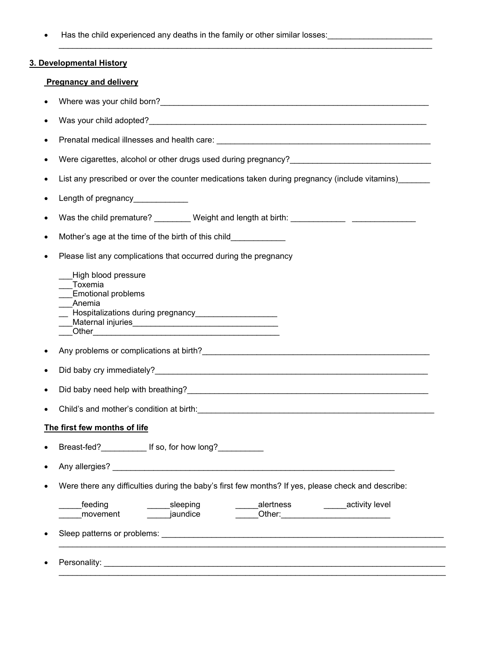• Has the child experienced any deaths in the family or other similar losses:

### **3. Developmental History**

## **Pregnancy and delivery**

| $\bullet$ |                                                                                                                                                                                                                                                              |  |  |  |  |
|-----------|--------------------------------------------------------------------------------------------------------------------------------------------------------------------------------------------------------------------------------------------------------------|--|--|--|--|
| $\bullet$ |                                                                                                                                                                                                                                                              |  |  |  |  |
| ٠         |                                                                                                                                                                                                                                                              |  |  |  |  |
| ٠         |                                                                                                                                                                                                                                                              |  |  |  |  |
| $\bullet$ | List any prescribed or over the counter medications taken during pregnancy (include vitamins)                                                                                                                                                                |  |  |  |  |
| $\bullet$ | Length of pregnancy____________                                                                                                                                                                                                                              |  |  |  |  |
| $\bullet$ | Was the child premature? _________ Weight and length at birth: __________________                                                                                                                                                                            |  |  |  |  |
| $\bullet$ | Mother's age at the time of the birth of this child____________                                                                                                                                                                                              |  |  |  |  |
| $\bullet$ | Please list any complications that occurred during the pregnancy                                                                                                                                                                                             |  |  |  |  |
|           | High blood pressure<br>Toxemia<br><b>Emotional problems</b><br>Anemia<br>__ Hospitalizations during pregnancy___________________<br>Other <u>2008 - 2008 - 2008 - 2009 - 2009 - 2009 - 2009 - 2009 - 2009 - 2009 - 2009 - 2009 - 2009 - 2009 - 2009 - 20</u> |  |  |  |  |
| $\bullet$ |                                                                                                                                                                                                                                                              |  |  |  |  |
| $\bullet$ |                                                                                                                                                                                                                                                              |  |  |  |  |
| $\bullet$ |                                                                                                                                                                                                                                                              |  |  |  |  |
| $\bullet$ |                                                                                                                                                                                                                                                              |  |  |  |  |
|           | The first few months of life                                                                                                                                                                                                                                 |  |  |  |  |
|           | Breast-fed?_____________ If so, for how long?___________                                                                                                                                                                                                     |  |  |  |  |
|           | Any allergies?                                                                                                                                                                                                                                               |  |  |  |  |
| $\bullet$ | Were there any difficulties during the baby's first few months? If yes, please check and describe:                                                                                                                                                           |  |  |  |  |
|           | alertness<br>feeding<br>sleeping<br>activity level<br>jaundice<br>movement                                                                                                                                                                                   |  |  |  |  |
| $\bullet$ |                                                                                                                                                                                                                                                              |  |  |  |  |
|           |                                                                                                                                                                                                                                                              |  |  |  |  |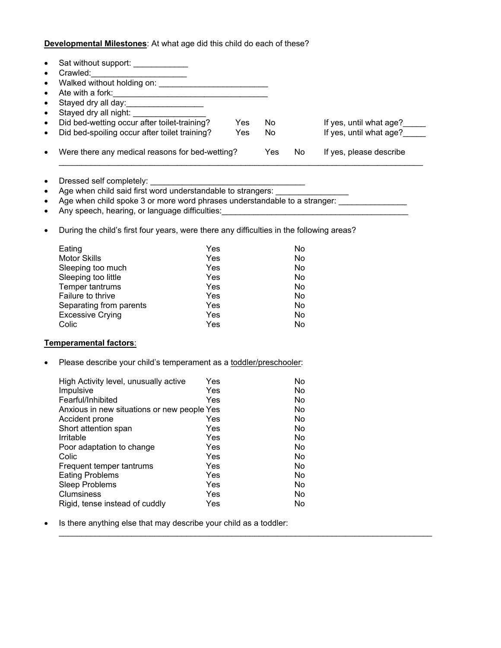**Developmental Milestones**: At what age did this child do each of these?

| Stayed dry all day:___________________                                                                                                                                                                                               |            |            |     |                         |
|--------------------------------------------------------------------------------------------------------------------------------------------------------------------------------------------------------------------------------------|------------|------------|-----|-------------------------|
| Stayed dry all night:                                                                                                                                                                                                                |            |            |     |                         |
| Did bed-wetting occur after toilet-training?                                                                                                                                                                                         | Yes        | No         |     | If yes, until what age? |
| Did bed-spoiling occur after toilet training?                                                                                                                                                                                        | <b>Yes</b> | No         |     | If yes, until what age? |
|                                                                                                                                                                                                                                      |            |            |     |                         |
| Were there any medical reasons for bed-wetting?                                                                                                                                                                                      |            | <b>Yes</b> | No  | If yes, please describe |
|                                                                                                                                                                                                                                      |            |            |     |                         |
| Age when child said first word understandable to strangers:                                                                                                                                                                          |            |            |     |                         |
| Age when child spoke 3 or more word phrases understandable to a stranger:                                                                                                                                                            |            |            |     |                         |
| Any speech, hearing, or language difficulties: <b>Manual Company of the set of the set of the set of the set of the set of the set of the set of the set of the set of the set of the set of the set of the set of the set of th</b> |            |            |     |                         |
|                                                                                                                                                                                                                                      |            |            |     |                         |
| During the child's first four years, were there any difficulties in the following areas?                                                                                                                                             |            |            |     |                         |
| Eating                                                                                                                                                                                                                               | Yes        |            | No  |                         |
| <b>Motor Skills</b>                                                                                                                                                                                                                  | Yes        |            | No  |                         |
| Sleeping too much                                                                                                                                                                                                                    | <b>Yes</b> |            | No  |                         |
| Sleeping too little                                                                                                                                                                                                                  | Yes        |            | No  |                         |
| Temper tantrums                                                                                                                                                                                                                      | Yes        |            | No  |                         |
| Failure to thrive                                                                                                                                                                                                                    | Yes        |            | No  |                         |
| Separating from parents                                                                                                                                                                                                              | Yes        |            | No  |                         |
| <b>Excessive Crying</b>                                                                                                                                                                                                              | Yes        |            | No. |                         |
| Colic                                                                                                                                                                                                                                | Yes        |            | No  |                         |
| Temperamental factors:                                                                                                                                                                                                               |            |            |     |                         |
| Please describe your child's temperament as a toddler/preschooler:                                                                                                                                                                   |            |            |     |                         |
| High Activity level, unusually active                                                                                                                                                                                                | Yes        |            | No  |                         |
| Impulsive                                                                                                                                                                                                                            | Yes        |            | No. |                         |
| Fearful/Inhibited                                                                                                                                                                                                                    | Yes        |            | No  |                         |
| Anxious in new situations or new people Yes                                                                                                                                                                                          |            |            | No  |                         |
| Accident prone <b>Accident</b> Prone <b>Property</b>                                                                                                                                                                                 |            |            | No  |                         |
| Short attention span                                                                                                                                                                                                                 | Yes        |            | No  |                         |
| Irritable                                                                                                                                                                                                                            | Yes        |            | No  |                         |
| Poor adaptation to change                                                                                                                                                                                                            | Yes        |            | No  |                         |
| Colic                                                                                                                                                                                                                                | Yes        |            | No. |                         |
| Frequent temper tantrums                                                                                                                                                                                                             | Yes        |            | No  |                         |
| <b>Eating Problems</b>                                                                                                                                                                                                               | Yes        |            | No  |                         |
| <b>Sleep Problems</b>                                                                                                                                                                                                                | Yes        |            | No  |                         |
| <b>Clumsiness</b>                                                                                                                                                                                                                    | Yes        |            | No  |                         |
| Rigid, tense instead of cuddly                                                                                                                                                                                                       | Yes        |            | No  |                         |
| Is there anything else that may describe your child as a toddler:                                                                                                                                                                    |            |            |     |                         |
|                                                                                                                                                                                                                                      |            |            |     |                         |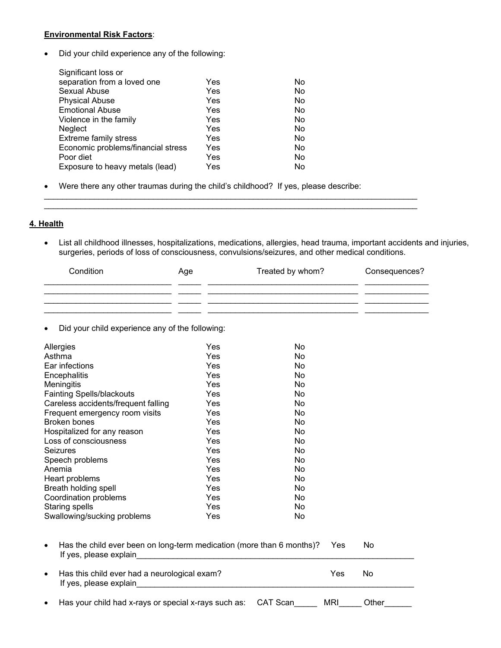#### **Environmental Risk Factors**:

Did your child experience any of the following:

| Significant loss or                |     |    |
|------------------------------------|-----|----|
| separation from a loved one        | Yes | No |
| Sexual Abuse                       | Yes | No |
| <b>Physical Abuse</b>              | Yes | No |
| <b>Emotional Abuse</b>             | Yes | No |
| Violence in the family             | Yes | No |
| <b>Neglect</b>                     | Yes | No |
| <b>Extreme family stress</b>       | Yes | No |
| Economic problems/financial stress | Yes | No |
| Poor diet                          | Yes | No |
| Exposure to heavy metals (lead)    | Yes | No |
|                                    |     |    |

Were there any other traumas during the child's childhood? If yes, please describe:

#### **4. Health**

 List all childhood illnesses, hospitalizations, medications, allergies, head trauma, important accidents and injuries, surgeries, periods of loss of consciousness, convulsions/seizures, and other medical conditions.

| Condition | Age | Treated by whom? | Consequences? |
|-----------|-----|------------------|---------------|
|           |     |                  |               |
|           |     |                  |               |

 $\mathcal{L}_\mathcal{L} = \{ \mathcal{L}_\mathcal{L} = \{ \mathcal{L}_\mathcal{L} = \{ \mathcal{L}_\mathcal{L} = \{ \mathcal{L}_\mathcal{L} = \{ \mathcal{L}_\mathcal{L} = \{ \mathcal{L}_\mathcal{L} = \{ \mathcal{L}_\mathcal{L} = \{ \mathcal{L}_\mathcal{L} = \{ \mathcal{L}_\mathcal{L} = \{ \mathcal{L}_\mathcal{L} = \{ \mathcal{L}_\mathcal{L} = \{ \mathcal{L}_\mathcal{L} = \{ \mathcal{L}_\mathcal{L} = \{ \mathcal{L}_\mathcal{$ 

Did your child experience any of the following:

| Allergies                                                                                       | Yes | No        |     |           |
|-------------------------------------------------------------------------------------------------|-----|-----------|-----|-----------|
| Asthma                                                                                          | Yes | No        |     |           |
| Ear infections                                                                                  | Yes | No        |     |           |
| Encephalitis                                                                                    | Yes | <b>No</b> |     |           |
| Meningitis                                                                                      | Yes | <b>No</b> |     |           |
| <b>Fainting Spells/blackouts</b>                                                                | Yes | No        |     |           |
| Careless accidents/frequent falling                                                             | Yes | No        |     |           |
| Frequent emergency room visits                                                                  | Yes | <b>No</b> |     |           |
| <b>Broken bones</b>                                                                             | Yes | No        |     |           |
| Hospitalized for any reason                                                                     | Yes | No        |     |           |
| Loss of consciousness                                                                           | Yes | No.       |     |           |
| Seizures                                                                                        | Yes | <b>No</b> |     |           |
| Speech problems                                                                                 | Yes | No        |     |           |
| Anemia                                                                                          | Yes | <b>No</b> |     |           |
| Heart problems                                                                                  | Yes | No        |     |           |
| Breath holding spell                                                                            | Yes | No        |     |           |
| Coordination problems                                                                           | Yes | No        |     |           |
| <b>Staring spells</b>                                                                           | Yes | No        |     |           |
| Swallowing/sucking problems                                                                     | Yes | No        |     |           |
| Has the child ever been on long-term medication (more than 6 months)?<br>If yes, please explain |     |           | Yes | <b>No</b> |
| Has this child ever had a neurological exam?<br>If yes, please explain                          |     |           | Yes | No        |
| Has your child had x-rays or special x-rays such as:                                            |     | CAT Scan  | MRI | Other     |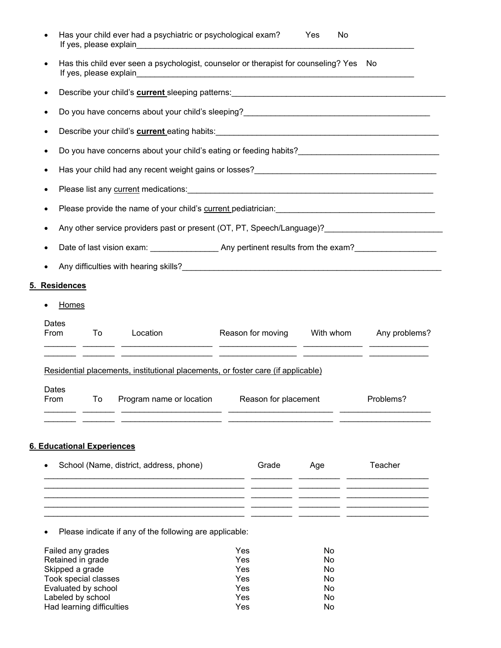|               | If yes, please explain                                                                                           | Has your child ever had a psychiatric or psychological exam?                                                                                                                                                                              |  |                   | <b>Yes</b><br>No |               |
|---------------|------------------------------------------------------------------------------------------------------------------|-------------------------------------------------------------------------------------------------------------------------------------------------------------------------------------------------------------------------------------------|--|-------------------|------------------|---------------|
| $\bullet$     | Has this child ever seen a psychologist, counselor or therapist for counseling? Yes No<br>If yes, please explain |                                                                                                                                                                                                                                           |  |                   |                  |               |
| $\bullet$     |                                                                                                                  | Describe your child's <b>current</b> sleeping patterns: <b>Construction and the construction of the construction of the construction of the construction of the construction of the construction of the construction of the construct</b> |  |                   |                  |               |
| $\bullet$     |                                                                                                                  |                                                                                                                                                                                                                                           |  |                   |                  |               |
| $\bullet$     |                                                                                                                  |                                                                                                                                                                                                                                           |  |                   |                  |               |
| ٠             |                                                                                                                  | Do you have concerns about your child's eating or feeding habits?__________________________________                                                                                                                                       |  |                   |                  |               |
|               |                                                                                                                  |                                                                                                                                                                                                                                           |  |                   |                  |               |
| ٠             |                                                                                                                  |                                                                                                                                                                                                                                           |  |                   |                  |               |
| ٠             |                                                                                                                  | Please provide the name of your child's current pediatrician: [11] Please provide the name of your child's current pediatrician:                                                                                                          |  |                   |                  |               |
|               |                                                                                                                  | Any other service providers past or present (OT, PT, Speech/Language)?_____________________________                                                                                                                                       |  |                   |                  |               |
|               |                                                                                                                  |                                                                                                                                                                                                                                           |  |                   |                  |               |
|               |                                                                                                                  |                                                                                                                                                                                                                                           |  |                   |                  |               |
| 5. Residences |                                                                                                                  |                                                                                                                                                                                                                                           |  |                   |                  |               |
| Homes         |                                                                                                                  |                                                                                                                                                                                                                                           |  |                   |                  |               |
| Dates<br>From | To                                                                                                               | Location<br><u>. 2000 - 2000 - 2000 - 2000 - 2000 - 2000 - 2000 - 2000 - 2000 - 2000 - 2000 - 2000 - 2000 - 2000 - 2000 - 20</u>                                                                                                          |  | Reason for moving | With whom        | Any problems? |
|               |                                                                                                                  | <u> 1944 - Johann Stoff, amerikan bestemminger (f. 1954)</u><br>Residential placements, institutional placements, or foster care (if applicable)                                                                                          |  |                   |                  |               |
| Dates<br>From |                                                                                                                  | To Program name or location Reason for placement                                                                                                                                                                                          |  |                   |                  | Problems?     |
|               |                                                                                                                  |                                                                                                                                                                                                                                           |  |                   |                  |               |
|               | <b>6. Educational Experiences</b>                                                                                |                                                                                                                                                                                                                                           |  |                   |                  |               |
|               |                                                                                                                  | School (Name, district, address, phone)                                                                                                                                                                                                   |  | Grade             | Age              | Teacher       |
|               |                                                                                                                  |                                                                                                                                                                                                                                           |  |                   |                  |               |
|               |                                                                                                                  |                                                                                                                                                                                                                                           |  |                   |                  |               |
|               |                                                                                                                  |                                                                                                                                                                                                                                           |  |                   |                  |               |

Please indicate if any of the following are applicable:

| Failed any grades         | Yes | No             |
|---------------------------|-----|----------------|
| Retained in grade         | Yes | No             |
| Skipped a grade           | Yes | No             |
| Took special classes      | Yes | No             |
| Evaluated by school       | Yes | <b>No</b>      |
| Labeled by school         | Yes | No             |
| Had learning difficulties | Yes | N <sub>0</sub> |
|                           |     |                |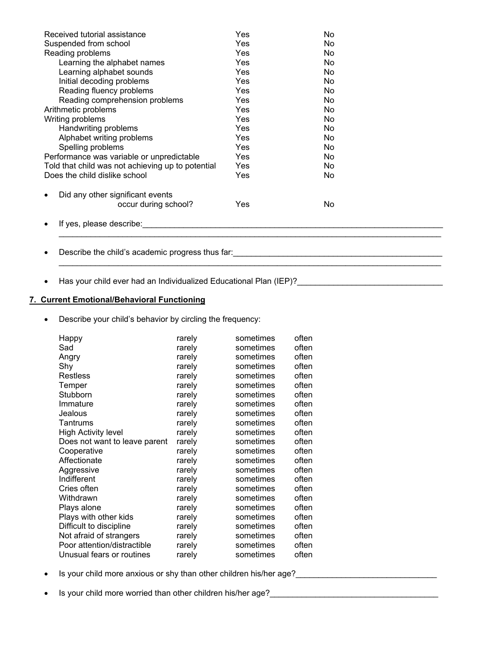| Yes<br>No.<br>Yes<br>No.<br>Yes<br>No.<br>Yes<br>No.<br>Yes<br>No<br>Yes<br>No.<br>Yes<br>No.<br>Yes<br>No. |            |
|-------------------------------------------------------------------------------------------------------------|------------|
|                                                                                                             |            |
|                                                                                                             |            |
|                                                                                                             |            |
|                                                                                                             |            |
|                                                                                                             |            |
|                                                                                                             |            |
|                                                                                                             |            |
|                                                                                                             |            |
| Yes<br>No.                                                                                                  |            |
| Yes<br>No.                                                                                                  |            |
| Yes<br>No.                                                                                                  |            |
| Yes<br>No.                                                                                                  |            |
| Yes<br>No.                                                                                                  |            |
| Yes<br>No.                                                                                                  |            |
| No.                                                                                                         |            |
|                                                                                                             |            |
| No                                                                                                          |            |
|                                                                                                             |            |
|                                                                                                             | Yes<br>Yes |

\_\_\_\_\_\_\_\_\_\_\_\_\_\_\_\_\_\_\_\_\_\_\_\_\_\_\_\_\_\_\_\_\_\_\_\_\_\_\_\_\_\_\_\_\_\_\_\_\_\_\_\_\_\_\_\_\_\_\_\_\_\_\_\_\_\_\_\_\_\_\_\_\_\_\_\_\_\_\_\_\_\_\_\_

- Describe the child's academic progress thus far:\_\_\_\_\_\_\_\_\_\_\_\_\_\_\_\_\_\_\_\_\_\_\_\_\_\_\_\_\_\_\_\_\_\_\_\_\_\_\_\_\_\_\_\_\_\_
- Has your child ever had an Individualized Educational Plan (IEP)?\_\_\_\_\_\_\_\_\_\_\_\_\_\_\_\_\_\_\_\_\_\_\_\_\_\_\_\_\_\_\_\_

#### **7. Current Emotional/Behavioral Functioning**

Describe your child's behavior by circling the frequency:

| Happy                         | rarely | sometimes | often |
|-------------------------------|--------|-----------|-------|
| Sad                           | rarely | sometimes | often |
| Angry                         | rarely | sometimes | often |
| Shy                           | rarely | sometimes | often |
| Restless                      | rarely | sometimes | often |
| Temper                        | rarely | sometimes | often |
| Stubborn                      | rarely | sometimes | often |
| Immature                      | rarely | sometimes | often |
| Jealous                       | rarely | sometimes | often |
| Tantrums                      | rarely | sometimes | often |
| <b>High Activity level</b>    | rarely | sometimes | often |
| Does not want to leave parent | rarely | sometimes | often |
| Cooperative                   | rarely | sometimes | often |
| Affectionate                  | rarely | sometimes | often |
| Aggressive                    | rarely | sometimes | often |
| Indifferent                   | rarely | sometimes | often |
| Cries often                   | rarely | sometimes | often |
| Withdrawn                     | rarely | sometimes | often |
| Plays alone                   | rarely | sometimes | often |
| Plays with other kids         | rarely | sometimes | often |
| Difficult to discipline       | rarely | sometimes | often |
| Not afraid of strangers       | rarely | sometimes | often |
| Poor attention/distractible   | rarely | sometimes | often |
| Unusual fears or routines     | rarely | sometimes | often |

- Is your child more anxious or shy than other children his/her age?\_\_\_\_\_\_\_\_\_\_\_\_\_\_\_\_\_\_\_\_\_\_\_\_\_\_\_\_\_\_\_\_\_\_
- Is your child more worried than other children his/her age?<br>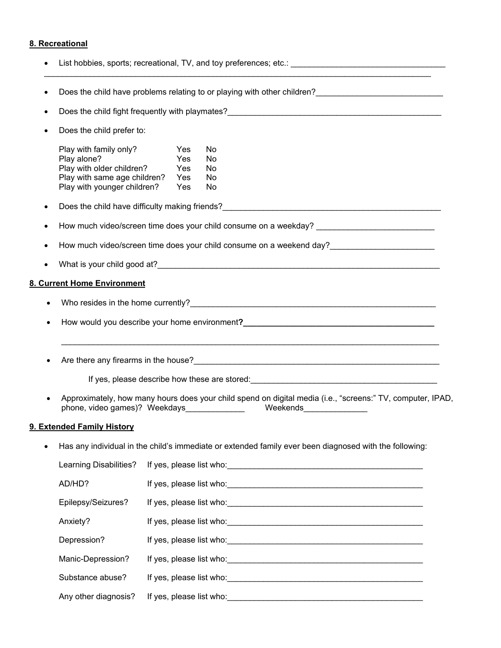# **8. Recreational**

|           | Play with family only?<br>Play alone?<br>Play with older children?<br>Play with same age children?<br>Play with younger children? | Yes<br>Yes<br>Yes<br>Yes<br>Yes | No<br><b>No</b><br>No<br>No<br>No                                                                                                                     |  |  |
|-----------|-----------------------------------------------------------------------------------------------------------------------------------|---------------------------------|-------------------------------------------------------------------------------------------------------------------------------------------------------|--|--|
|           |                                                                                                                                   |                                 |                                                                                                                                                       |  |  |
|           |                                                                                                                                   |                                 | How much video/screen time does your child consume on a weekday? __________________________________                                                   |  |  |
|           |                                                                                                                                   |                                 |                                                                                                                                                       |  |  |
|           |                                                                                                                                   |                                 |                                                                                                                                                       |  |  |
|           | 8. Current Home Environment                                                                                                       |                                 |                                                                                                                                                       |  |  |
|           |                                                                                                                                   |                                 |                                                                                                                                                       |  |  |
| $\bullet$ |                                                                                                                                   |                                 |                                                                                                                                                       |  |  |
|           |                                                                                                                                   |                                 | ,我们也不能在这里的人,我们也不能在这里的人,我们也不能在这里的人,我们也不能在这里的人,我们也不能在这里的人,我们也不能在这里的人,我们也不能在这里的人,我们也                                                                     |  |  |
|           |                                                                                                                                   |                                 | Are there any firearms in the house?<br>The matter of the contract of the contract of the contract of the contract of the contract of the contract of |  |  |
|           |                                                                                                                                   |                                 |                                                                                                                                                       |  |  |
|           |                                                                                                                                   |                                 | Approximately, how many hours does your child spend on digital media (i.e., "screens:" TV, computer, IPAD,                                            |  |  |
|           | 9. Extended Family History                                                                                                        |                                 |                                                                                                                                                       |  |  |
|           |                                                                                                                                   |                                 | Has any individual in the child's immediate or extended family ever been diagnosed with the following:                                                |  |  |
|           | Learning Disabilities?                                                                                                            |                                 |                                                                                                                                                       |  |  |
|           | AD/HD?                                                                                                                            |                                 |                                                                                                                                                       |  |  |
|           | Epilepsy/Seizures?                                                                                                                |                                 |                                                                                                                                                       |  |  |
|           | Anxiety?                                                                                                                          |                                 |                                                                                                                                                       |  |  |
|           | Depression?                                                                                                                       |                                 |                                                                                                                                                       |  |  |
|           | Manic-Depression?                                                                                                                 |                                 |                                                                                                                                                       |  |  |
|           | Substance abuse?                                                                                                                  |                                 |                                                                                                                                                       |  |  |
|           | Any other diagnosis?                                                                                                              |                                 |                                                                                                                                                       |  |  |